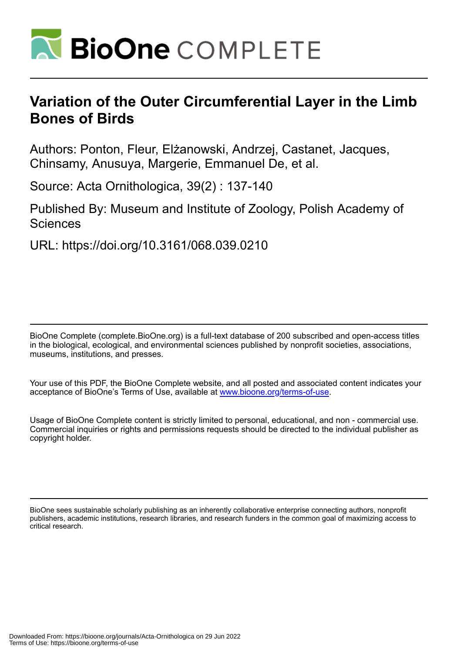

# **Variation of the Outer Circumferential Layer in the Limb Bones of Birds**

Authors: Ponton, Fleur, Elżanowski, Andrzej, Castanet, Jacques, Chinsamy, Anusuya, Margerie, Emmanuel De, et al.

Source: Acta Ornithologica, 39(2) : 137-140

Published By: Museum and Institute of Zoology, Polish Academy of **Sciences** 

URL: https://doi.org/10.3161/068.039.0210

BioOne Complete (complete.BioOne.org) is a full-text database of 200 subscribed and open-access titles in the biological, ecological, and environmental sciences published by nonprofit societies, associations, museums, institutions, and presses.

Your use of this PDF, the BioOne Complete website, and all posted and associated content indicates your acceptance of BioOne's Terms of Use, available at www.bioone.org/terms-of-use.

Usage of BioOne Complete content is strictly limited to personal, educational, and non - commercial use. Commercial inquiries or rights and permissions requests should be directed to the individual publisher as copyright holder.

BioOne sees sustainable scholarly publishing as an inherently collaborative enterprise connecting authors, nonprofit publishers, academic institutions, research libraries, and research funders in the common goal of maximizing access to critical research.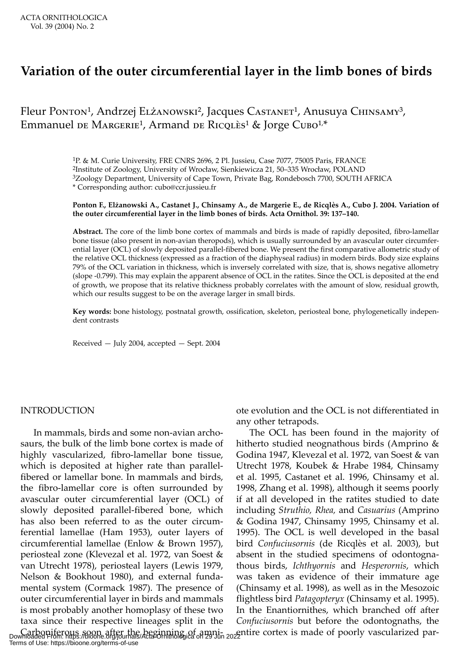## **Variation of the outer circumferential layer in the limb bones of birds**

Fleur Pомтом<sup>1</sup>, Andrzej Elżanowsкi<sup>2</sup>, Jacques Cаsтамет<sup>1</sup>, Anusuya Cнимаму<sup>3</sup>, Emmanuel DE MARGERIE<sup>1</sup>, Armand DE RICQLES<sup>1</sup> & Jorge CUBO<sup>1,\*</sup>

> 1P. & M. Curie University, FRE CNRS 2696, 2 Pl. Jussieu, Case 7077, 75005 Paris, FRANCE 2Institute of Zoology, University of Wrocław, Sienkiewicza 21, 50–335 Wrocław, POLAND 3Zoology Department, University of Cape Town, Private Bag, Rondebosch 7700, SOUTH AFRICA \* Corresponding author: cubo@ccr.jussieu.fr

#### **Ponton F., Elżanowski A., Castanet J., Chinsamy A., de Margerie E., de Ricqlès A., Cubo J. 2004. Variation of the outer circumferential layer in the limb bones of birds. Acta Ornithol. 39: 137–140.**

**Abstract.** The core of the limb bone cortex of mammals and birds is made of rapidly deposited, fibro-lamellar bone tissue (also present in non-avian theropods), which is usually surrounded by an avascular outer circumferential layer (OCL) of slowly deposited parallel-fibered bone. We present the first comparative allometric study of the relative OCL thickness (expressed as a fraction of the diaphyseal radius) in modern birds. Body size explains 79% of the OCL variation in thickness, which is inversely correlated with size, that is, shows negative allometry (slope -0.799). This may explain the apparent absence of OCL in the ratites. Since the OCL is deposited at the end of growth, we propose that its relative thickness probably correlates with the amount of slow, residual growth, which our results suggest to be on the average larger in small birds.

**Key words:** bone histology, postnatal growth, ossification, skeleton, periosteal bone, phylogenetically independent contrasts

Received — July 2004, accepted — Sept. 2004

#### INTRODUCTION

In mammals, birds and some non-avian archosaurs, the bulk of the limb bone cortex is made of highly vascularized, fibro-lamellar bone tissue, which is deposited at higher rate than parallelfibered or lamellar bone. In mammals and birds, the fibro-lamellar core is often surrounded by avascular outer circumferential layer (OCL) of slowly deposited parallel-fibered bone, which has also been referred to as the outer circumferential lamellae (Ham 1953), outer layers of circumferential lamellae (Enlow & Brown 1957), periosteal zone (Klevezal et al. 1972, van Soest & van Utrecht 1978), periosteal layers (Lewis 1979, Nelson & Bookhout 1980), and external fundamental system (Cormack 1987). The presence of outer circumferential layer in birds and mammals is most probably another homoplasy of these two taxa since their respective lineages split in the Carboniferous soon after the beginning of amni-<br>Downloaded From: https://bioone.org/journals/Acta-Ornithologica on 29 Jun 2022

ote evolution and the OCL is not differentiated in any other tetrapods.

The OCL has been found in the majority of hitherto studied neognathous birds (Amprino & Godina 1947, Klevezal et al. 1972, van Soest & van Utrecht 1978, Koubek & Hrabe 1984, Chinsamy et al. 1995, Castanet et al. 1996, Chinsamy et al. 1998, Zhang et al. 1998), although it seems poorly if at all developed in the ratites studied to date including *Struthio, Rhea,* and *Casuarius* (Amprino & Godina 1947, Chinsamy 1995, Chinsamy et al. 1995). The OCL is well developed in the basal bird *Confuciusornis* (de Ricqlès et al. 2003), but absent in the studied specimens of odontognathous birds, *Ichthyornis* and *Hesperornis*, which was taken as evidence of their immature age (Chinsamy et al. 1998), as well as in the Mesozoic flightless bird *Patagopteryx* (Chinsamy et al. 1995). In the Enantiornithes, which branched off after *Confuciusornis* but before the odontognaths, the

Terms of Use: https://bioone.org/terms-of-use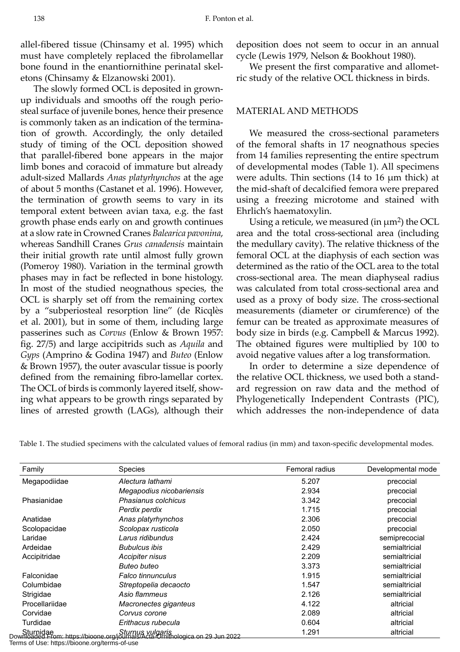allel-fibered tissue (Chinsamy et al. 1995) which must have completely replaced the fibrolamellar bone found in the enantiornithine perinatal skeletons (Chinsamy & Elzanowski 2001).

The slowly formed OCL is deposited in grownup individuals and smooths off the rough periosteal surface of juvenile bones, hence their presence is commonly taken as an indication of the termination of growth. Accordingly, the only detailed study of timing of the OCL deposition showed that parallel-fibered bone appears in the major limb bones and coracoid of immature but already adult-sized Mallards *Anas platyrhynchos* at the age of about 5 months (Castanet et al. 1996). However, the termination of growth seems to vary in its temporal extent between avian taxa, e.g. the fast growth phase ends early on and growth continues at a slow rate in Crowned Cranes *Balearica pavonina*, whereas Sandhill Cranes *Grus canadensis* maintain their initial growth rate until almost fully grown (Pomeroy 1980). Variation in the terminal growth phases may in fact be reflected in bone histology. In most of the studied neognathous species, the OCL is sharply set off from the remaining cortex by a "subperiosteal resorption line" (de Ricqlès et al. 2001), but in some of them, including large passerines such as *Corvus* (Enlow & Brown 1957: fig. 27/5) and large accipitrids such as *Aquila* and *Gyps* (Amprino & Godina 1947) and *Buteo* (Enlow & Brown 1957), the outer avascular tissue is poorly defined from the remaining fibro-lamellar cortex. The OCL of birds is commonly layered itself, showing what appears to be growth rings separated by lines of arrested growth (LAGs), although their

deposition does not seem to occur in an annual cycle (Lewis 1979, Nelson & Bookhout 1980).

We present the first comparative and allometric study of the relative OCL thickness in birds.

#### MATERIAL AND METHODS

We measured the cross-sectional parameters of the femoral shafts in 17 neognathous species from 14 families representing the entire spectrum of developmental modes (Table 1). All specimens were adults. Thin sections (14 to 16  $\mu$ m thick) at the mid-shaft of decalcified femora were prepared using a freezing microtome and stained with Ehrlich's haematoxylin.

Using a reticule, we measured (in  $\mu$ m<sup>2</sup>) the OCL area and the total cross-sectional area (including the medullary cavity). The relative thickness of the femoral OCL at the diaphysis of each section was determined as the ratio of the OCL area to the total cross-sectional area. The mean diaphyseal radius was calculated from total cross-sectional area and used as a proxy of body size. The cross-sectional measurements (diameter or cirumference) of the femur can be treated as approximate measures of body size in birds (e.g. Campbell & Marcus 1992). The obtained figures were multiplied by 100 to avoid negative values after a log transformation.

In order to determine a size dependence of the relative OCL thickness, we used both a standard regression on raw data and the method of Phylogenetically Independent Contrasts (PIC), which addresses the non-independence of data

|  | Table 1. The studied specimens with the calculated values of femoral radius (in mm) and taxon-specific developmental modes. |  |  |  |  |  |  |  |  |  |
|--|-----------------------------------------------------------------------------------------------------------------------------|--|--|--|--|--|--|--|--|--|
|--|-----------------------------------------------------------------------------------------------------------------------------|--|--|--|--|--|--|--|--|--|

| Family         | <b>Species</b>                                                                              | Femoral radius | Developmental mode |
|----------------|---------------------------------------------------------------------------------------------|----------------|--------------------|
| Megapodiidae   | Alectura lathami                                                                            | 5.207          | precocial          |
|                | Megapodius nicobariensis                                                                    | 2.934          | precocial          |
| Phasianidae    | Phasianus colchicus                                                                         | 3.342          | precocial          |
|                | Perdix perdix                                                                               | 1.715          | precocial          |
| Anatidae       | Anas platyrhynchos                                                                          | 2.306          | precocial          |
| Scolopacidae   | Scolopax rusticola                                                                          | 2.050          | precocial          |
| Laridae        | Larus ridibundus                                                                            | 2.424          | semiprecocial      |
| Ardeidae       | <b>Bubulcus ibis</b>                                                                        | 2.429          | semialtricial      |
| Accipitridae   | Accipiter nisus                                                                             | 2.209          | semialtricial      |
|                | Buteo buteo                                                                                 | 3.373          | semialtricial      |
| Falconidae     | Falco tinnunculus                                                                           | 1.915          | semialtricial      |
| Columbidae     | Streptopelia decaocto                                                                       | 1.547          | semialtricial      |
| Strigidae      | Asio flammeus                                                                               | 2.126          | semialtricial      |
| Procellariidae | Macronectes giganteus                                                                       | 4.122          | altricial          |
| Corvidae       | Corvus corone                                                                               | 2.089          | altricial          |
| Turdidae       | Erithacus rubecula                                                                          | 0.604          | altricial          |
|                | Sturnidae<br>Downloaded From: https://bioone.org/journals/Acta-Ornithologica on 29 Jun 2022 | 1.291          | altricial          |

Terms of Use: https://bioone.org/terms-of-use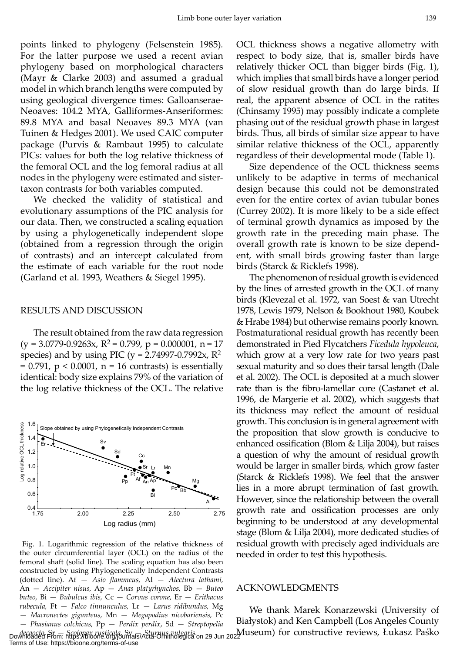points linked to phylogeny (Felsenstein 1985)*.* For the latter purpose we used a recent avian phylogeny based on morphological characters (Mayr & Clarke 2003) and assumed a gradual model in which branch lengths were computed by using geological divergence times: Galloanserae-Neoaves: 104.2 MYA, Galliformes-Anseriformes: 89.8 MYA and basal Neoaves 89.3 MYA (van Tuinen & Hedges 2001). We used CAIC computer package (Purvis & Rambaut 1995) to calculate PICs: values for both the log relative thickness of the femoral OCL and the log femoral radius at all nodes in the phylogeny were estimated and sistertaxon contrasts for both variables computed.

We checked the validity of statistical and evolutionary assumptions of the PIC analysis for our data. Then, we constructed a scaling equation by using a phylogenetically independent slope (obtained from a regression through the origin of contrasts) and an intercept calculated from the estimate of each variable for the root node (Garland et al. 1993, Weathers & Siegel 1995).

#### RESULTS AND DISCUSSION

The result obtained from the raw data regression  $(y = 3.0779 - 0.9263x, R^2 = 0.799, p = 0.000001, n = 17$ species) and by using PIC ( $y = 2.74997 - 0.7992x$ ,  $R^2$  $= 0.791$ ,  $p < 0.0001$ ,  $n = 16$  contrasts) is essentially identical: body size explains 79% of the variation of the log relative thickness of the OCL. The relative



Fig. 1. Logarithmic regression of the relative thickness of the outer circumferential layer (OCL) on the radius of the femoral shaft (solid line). The scaling equation has also been constructed by using Phylogenetically Independent Contrasts (dotted line). Af *— Asio flammeus,* Al *— Alectura lathami,*  An *— Accipiter nisus,* Ap *— Anas platyrhynchos,* Bb *— Buteo buteo,* Bi — *Bubulcus ibis,* Cc — *Corvus corone,* Er — *Erithacus rubecula,* Ft *— Falco tinnunculus,* Lr *— Larus ridibundus,* Mg — *Macronectes giganteus,* Mn — *Megapodius nicobariensis,* Pc *— Phasianus colchicus,* Pp — *Perdix perdix*, Sd — *Streptopelia* 

Terms of Use: https://bioone.org/terms-of-use

OCL thickness shows a negative allometry with respect to body size, that is, smaller birds have relatively thicker OCL than bigger birds (Fig. 1), which implies that small birds have a longer period of slow residual growth than do large birds. If real, the apparent absence of OCL in the ratites (Chinsamy 1995) may possibly indicate a complete phasing out of the residual growth phase in largest birds. Thus, all birds of similar size appear to have similar relative thickness of the OCL, apparently regardless of their developmental mode (Table 1).

Size dependence of the OCL thickness seems unlikely to be adaptive in terms of mechanical design because this could not be demonstrated even for the entire cortex of avian tubular bones (Currey 2002). It is more likely to be a side effect of terminal growth dynamics as imposed by the growth rate in the preceding main phase. The overall growth rate is known to be size dependent, with small birds growing faster than large birds (Starck & Ricklefs 1998).

The phenomenon of residual growth is evidenced by the lines of arrested growth in the OCL of many birds (Klevezal et al. 1972, van Soest & van Utrecht 1978, Lewis 1979, Nelson & Bookhout 1980, Koubek & Hrabe 1984) but otherwise remains poorly known. Postmaturational residual growth has recently been demonstrated in Pied Flycatchers *Ficedula hypoleuca*, which grow at a very low rate for two years past sexual maturity and so does their tarsal length (Dale et al. 2002). The OCL is deposited at a much slower rate than is the fibro-lamellar core (Castanet et al. 1996, de Margerie et al. 2002), which suggests that its thickness may reflect the amount of residual growth. This conclusion is in general agreement with the proposition that slow growth is conducive to enhanced ossification (Blom & Lilja 2004), but raises a question of why the amount of residual growth would be larger in smaller birds, which grow faster (Starck & Ricklefs 1998). We feel that the answer lies in a more abrupt termination of fast growth. However, since the relationship between the overall growth rate and ossification processes are only beginning to be understood at any developmental stage (Blom & Lilja 2004), more dedicated studies of residual growth with precisely aged individuals are needed in order to test this hypothesis.

#### ACKNOWLEDGMENTS

We thank Marek Konarzewski (University of Białystok) and Ken Campbell (Los Angeles County Museum) for constructive reviews, Łukasz Paśko *decaocto,* Sr *— Scolopax rusticola,* Sv — *Sturnus vulgaris.* Downloaded From: https://bioone.org/journals/Acta-Ornithologica on 29 Jun 2022